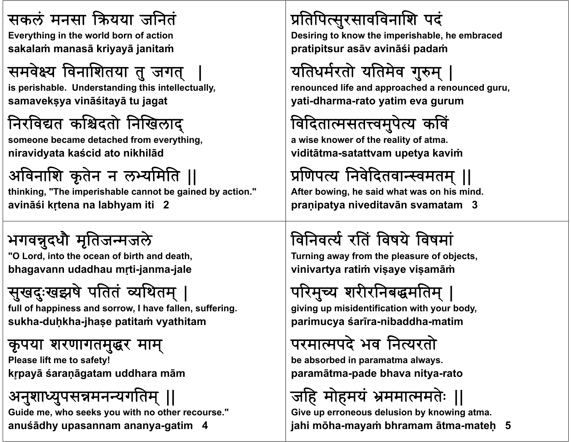### सकल मनसा यया जिनत

**E thi i th ld b f ti Everything in the world born of action sakalaṁ manasā kriyayā janitaṁ**

# समवेक्ष्य विनाशितया तु जगत्

is perishable. Understanding this intellectually, **samavekṣya vināśitayā tu jagat**

### निरविद्यत कश्चिदतो निखिलाद्

**someone b d h d f hi became detached from everything, niravidyata kaścid ato nikhilād**

### अवनाश कृतने <sup>न</sup> लयमित ||

**thinking, "The imperishable cannot be gained by action." avināśi kṛtena na labhyam iti 2**

# भगवन्नुदधौ मृतिजन्मजले

"O Lord, into the ocean of birth and death, **bhagavann udadhau <sup>m</sup>ṛti-janma-jale**

# सुखदुःखझषे पतितं व्यथितम् |

full of happiness and sorrow, I have fallen, suffering. **sukha-duḥkha-jhaṣ<sup>e</sup> patitaṁ vyathitam**

### कृपया शरणागतमुर माम्

**Pl lif f ! Please lift me to safety! kr ̥payā śaraṇāgatam uddhara <sup>m</sup>ā<sup>m</sup>**

### अनुशाध्युपसन्नमनन्यगतिम् ||

**Guide me, who seeks you with no other recourse." anuśādhy upasannam ananya-gatim 4**

### प्रतिपित्सुरसावविनाशि पदं

Desiring to know the imperishable, he embraced **pratipitsur asā<sup>v</sup> avināśi padaṁ**

# यतिधर्मरतो यतिमेव गुरुम् |

**renounced lif d h d d d life and approached a renounced guru, yati-dharma-rato yatim eva gurum**

### विदितात्मसतत्त्वमुपेत्य कविं

**a wi k f h li f ise knower of the reality of atma. viditātma-satattvam upetya kaviṁ**

# प्रणिपत्य निवेदितवान्स्वमतम् ||

**After bowing, he said what was on his mind. praṇipatya niveditavān svamatam 3**

# विनिवर्त्य रतिं विषये विषमां

**T i f th l f bj t Turning away from the pleasure of objects, vinivartya ratiṁ viṣaye viṣamāṁ**

# परिमुच्य शरीरनिबद्धमतिम् |

**gi i i id tifi ti ith b d iving up misidentification with your body, parimucya śarīra-nibaddha-matim**

## परमापदे भव िनयरताे

**b b b di be absorbed in paramatma always. paramātma-pade bhava nitya-rato**

# जहि मोहमयं भ्रममात्ममतेः ॥

**Give up erroneous delusion by knowing atma. jahi mōha-mayaṁ bhramam ātma-mateḥ 5**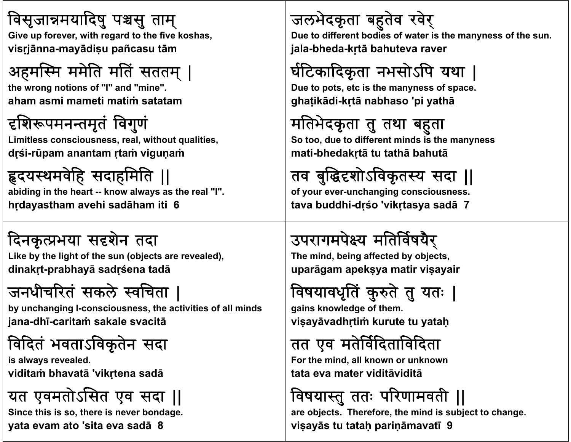### विसृजान्नमयादिषु पश्चसु ताम्

**Gi f ith d t th fi Give up forever, with regard to the five k h os as, visṛjānna-mayādiṣ<sup>u</sup> pañcasu tā<sup>m</sup>**

# अहमस्मि ममेति मतिं सततम् |

**th ti f "I" d " i " the wrong notions of "I" and "mine". aham asmi mameti matiṁ satatam**

### दृशिरूपमनन्तमृतं विगुणं

**Li i l i l i h li i imitless consciousness, real, without qualities, dṛśi-rūpam anantam ṛtaṁ viguṇaṁ**

# दयथमवहे सदाहमित ||

**abiding in the heart -- know always as the real "I". hṛdayastham avehi sadāham iti 6**

### दिनकृत्प्रभया सदृशेन तदा

Like by the light of the sun (objects are revealed), **dinakṛt-prabhayā sadṛśena tadā**

# जनधीचरत सकले वचता |

by unchanging I-consciousness, the activities of all minds **jana-dhī-caritaṁ sakale svacitā**

# वदत भवताऽवकृतने सदा

**i l ld s always revealed. viditaṁ bhavatā 'vikṛtena sadā**

### यत एवमतोऽसित एव सदा ||

**Since this is so, there is never bondage. yata evam ato 'sita eva sadā 8**

### जलभेदकृता बहतेव रवेर्

Due to different bodies of water is the manyness of the sun. **jala-bheda-kr̥tā bahuteva raver**

# र्घटिकादिकृता नभसोऽपि यथा |

**D t t t i th Due to pots, etc is the manyness of space. ghaṭikādi-kṛtā nabhaso 'pi yathā**

## मतिभेदकृता तु तथा बहता

**S d diff i d i h So too, due to different minds is the manyness mati-bhedakṛtā tu tathā bahutā**

# तव बुद्धिदृशोऽविकृतस्य सदा ||

**of your ever-unchanging consciousness. tava buddhi-dṛśo 'vikṛtasya sadā 7**

# उपरागमपेक्ष्य मतिर्विषयैर

**Th i d b i ff t d b bj t The mind, being affected by objects, uparāgam apekṣya matir viṣayair**

## विषयावधृतिं कुरुते तु यतः |

**gai k l d f th ins knowledge of them. viṣayāvadhṛtiṁ kurute tu yataḥ**

## तत एव मतेर्विदिताविदिता

**F h i d ll k k For the mind, all known or unknown tata eva mater viditāviditā**

# विषयास्तु ततः परिणामवती ॥

**are objects. Therefore, the mind is subject to change. viṣayās tu tataḥ pariṇāmavatī 9**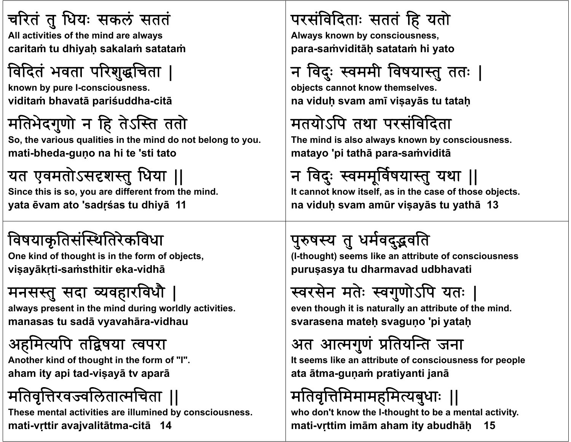# चरितं तु धियः सकलं सततं

**All ti iti f th i d l All activities of the mind are always caritaṁ tu dhiyaḥ sakalaṁ satataṁ**

# विदितं भवता परिशुद्धचिता |

**kb I nown by pure I-consciousness. viditaṁ bhavatā pariśuddha-citā**

# मतिभेदगुणो न हि तेऽस्ति ततो

So, the various qualities in the mind do not belong to you. **mati-bheda-guṇ<sup>o</sup> na hi te 'sti tato**

### यत एवमतोऽसदृशस्तु धिया ||

**Since this is so, you are different from the mind. yata ēvam ato 'sadṛśas tu dhiyā 11**

### विषयाकृतिसंस्थितिरेकविधा

One kind of thought is in the form of objects, **viṣayākṛti-saṁsthitir eka-vidhā**

### मनसस्तु सदा व्यवहारविधौ

always present in the mind during worldly activities. **manasas tu sadā vyavahāra-vidhau**

## अहमित्यपि तद्विषया त्वपरा

Another kind of thought in the form of "I". **aham ity api tad-viṣayā tv aparā**

# मतिवृत्तिरवज्वलितात्मचिता ||

**These mental activities are illumined by consciousness. mati-vṛttir avajvalitātma-citā 14**

### परसंविदिताः सततं हि यतो

**Al k b i Always known by consciousness, para-saṁviditāḥ satataṁ hi yato**

# न विदुः स्वममी विषयास्तु ततः |

**obj t t k th l bjects cannot know themselves. na viduḥ svam amī viṣayā<sup>s</sup> tu tataḥ**

# मतयोऽपि तथा परसंविदिता

**Th i d i l l k b i The mind is also always known by consciousness. matayo 'pi tathā para-saṁviditā**

# न विदुः स्वममूर्विषयास्तु यथा ||

**It cannot know itself, as in the case of those objects. na viduḥ svam amūr viṣayās tu yathā 13**

# पुरुषस्य तु धर्मवदुद्भवति

**(I-th ht) lik tt ib t f i thought) seems like an attribute of consciousness puruṣasya tu dharmavad udbhavati**

# स्वरसेन मतेः स्वगुणोऽपि यतः

even though it is naturally an attribute of the mind. **svarasena mateḥ svaguṇ<sup>o</sup> 'pi yataḥ**

#### अत आत्मगुणं ेप्रतियन्ति जना

**I lik ib f i f l It seems like an attribute of consciousness for people ata ātma-guṇaṁ pratiyanti janā**

# मतिवृत्तिमिमामहमित्यबुधाः ।|

**who don't know the I-thought to be a mental activity. mati-vṛttim imām aham ity abudhāḥ 15**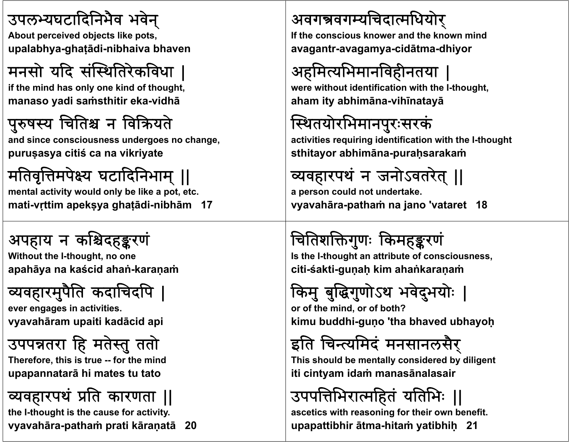### उपलयघटादिनभवै भवेन्

**Ab t i d bj t lik t About perceived objects like pots, upalabhya-ghaṭādi-nibhaiva bhaven**

# मनसो यदि संस्थितिरेकविधा

if the mind has only one kind of thought, **manaso yadi saṁsthitir eka-vidhā**

### पुरुषस्य चितिश्च न विक्रियते

**andi i d h d since consciousness undergoes no change, puruṣasya citiś ca na vikriyate**

# मतिवृत्तिमपेक्ष्य घटादिनिभाम् ||

**mental activity would only be like a pot, etc. mati-vṛttim apekṣya ghaṭādi-nibhām 17**

### अपहाय न कश्चिदहङ्करणं

**With t th I Without the I-th ht oug , no one apahāya na kaścid ahaṅ-karaṇaṁ**

# व्यवहारमुपैति कदाचिदपि

**ever engages i ti iti in activities. vyavahāram upaiti kadācid api**

### उपपन्नतरा हि मतेस्तु ततो

**Th f hi i Therefore, this is true -- f h id or the mind upapannatarā hi mates tu tato**

### व्यवहारपथं प्रति कारणता ||

**the I-thought is the cause for activity. vyavahāra-pathaṁ prati kāraṇatā 20**

### अवगन्नवगम्यचिदात्मधियोर्

**If th i k d th k i d the conscious knower and the known mind avagantr-avagamya-cidātma-dhiyor**

# अहमित्यभिमानविहीनतया

were without identification with the I-thought, **aham ity abhimāna-vihīnatayā**

# स्थितयोरभिमानपुरःसरकं

activities requiring identification with the I-thought **sthitayor abhimāna-puraḥsarakaṁ**

#### यवहारपथ <sup>.</sup> न जनोऽवतरेत् ||

**a person could not undertake. vyavahāra-pathaṁ na jano 'vataret 18**

# चितिशक्तिगुणः किमहङ्करणं

**I th I se-th ht tt ib t f i thought an attribute of consciousness, citi-śakti-guṇaḥ kim ahaṅkaraṇaṁ**

# किमु बुद्धिगुणोऽथ भवेदुभयोः

**or of th i d f b th? f the mind, or of both? kimu buddhi-guṇ<sup>o</sup> 'tha bhaved ubhayoḥ**

# इति चिन्त्यमिदं मनसानलसैर्

**Thi h ld b ll id d b dili This should be mentally considered by diligent iti cintyam idaṁ manasānalasair**

# उपपत्तिभिरात्महितं यतिभिः ॥

**ascetics with reasoning for their own benefit. upapattibhir ātma-hitaṁ yatibhiḥ 21**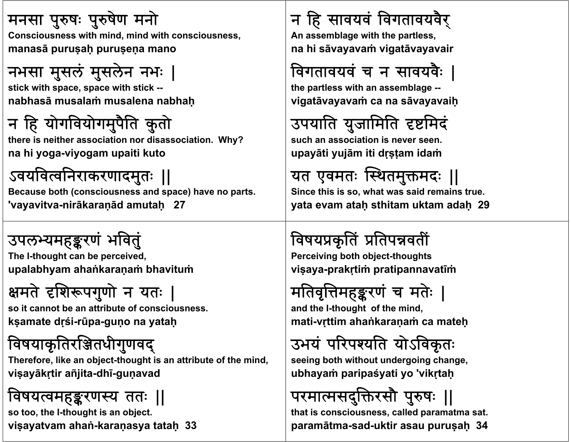### मनसा पुरुषः पुरुषेण मनो

**C i ith i d i d ith i Consciousness with mind, mind with consciousness, manasā puruṣaḥ puruṣeṇ<sup>a</sup> mano**

#### नभसा मुसलं मुसलेन नभ |

**sti k ith ith ti k tick with space, space with stick - nabhasā musalaṁ musalena nabhaḥ**

# न हि योगवियोगमुपैति कुतो

there is neither association nor disassociation. Why? **na hi yoga-viyogam upaiti kuto**

### ऽवयवित्वनिराकरणादमुतः ||

**Because both (consciousness and space) have no parts. 'vayavitva-nirākaraṇād amutaḥ 27**

उपलभ्यमहङ्करणं भवत **Th I e-th ht b i d thought can be perceived, upalabhyam ahaṅkaraṇaṁ bhavituṁ**

# क्षमते दृशिरूपगुणो न यतः

**so it t b tt ib t f i it cannot be an attribute of consciousness. kṣamate dṛśi-rūpa-guṇ<sup>o</sup> na yataḥ**

### विषयाकृतिरञ्जितधीगुणवद्

Therefore, like an object-thought is an attribute of the mind, **viṣayākṛtir añjita-dhī-guṇavad**

### विषयत्वमहङ्करणस्य ततः ॥

**so too, the I-thought is an object. viṣayatvam ahaṅ-karaṇasya tataḥ 33**

### <sup>न</sup> ह सावयव वगतावयवरै्

**A bl ith th An assemblage with the partless, na hi sāvayavaṁ vigatāvayavair**

## विगतावयवं च न सावयवैः

**the partless with bl an assemblage - vigatāvayavaṁ ca na <sup>s</sup>āvayavaiḥ**

## उपयाति युजामिति दृष्टमिदं

**such ii i an association is never seen.upayāti yujā<sup>m</sup> iti dṛṣṭam idaṁ**

## यत एवमतः स्थितमुक्तमदः ||

**Since this is so, what was said remains true. yata evam ataḥ sthitam uktam adaḥ 29**

## विषयप्रकृतिं प्रतिपन्नवतीं

**Perceiving both object-thoughts viṣaya-prakṛtiṁ pratipannavatīṁ**

# मतिवृत्तिमहङ्करणं च मतेः |

**and th I e-th ht f th i d thought of the mind, mati-vṛttim ahaṅkaraṇaṁ ca mateḥ**

#### उभय ٠ <sup>.</sup> परिपश्यति योऽविकृतः

**seei b h ih d i h ing both without undergoing change, ubhayaṁ paripaśyati yo 'vikṛtaḥ**

# परमात्मसदुक्तिरसौ पुरुषः ||

**that is consciousness, called paramatma sat. paramātma-sad-uktir asau puruṣaḥ 34**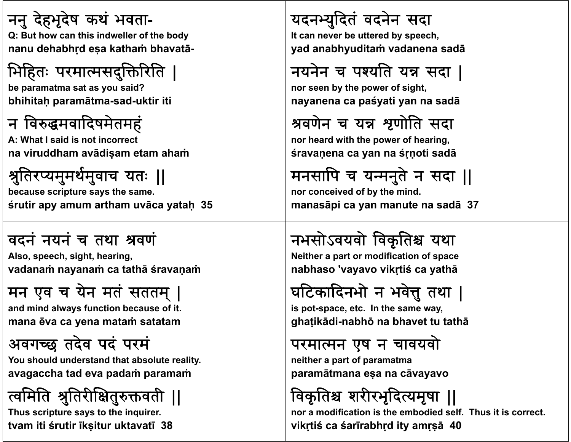#### ननु देहभूदेष कथं भवता-Q: But how can this indweller of the body **nanu dehabhṛd <sup>e</sup>ṣ<sup>a</sup> kathaṁ bhavatā-**

# भिहितः परमात्मसदुक्तिरिति

**be paramatma sat as you said? bhihitaḥ paramātma-sad-uktir iti**

### न विरुद्धमवादिषमेतमहं

**A Wh I id i i A: What I said is not incorrect na viruddham avādiṣam etam ahaṁ**

#### श्रुतिरप्यमुमर्थमुवाच यतः || **because scripture says the same.**

**śrutir apy amum artham uvāca yataḥ 35**

### वदन नयन च तथा वण

**Al h i ht h i Also, speech, sight, hearing, vadanaṁ nayanaṁ ca tathā śravaṇaṁ**

### मन एव <sup>च</sup> येन मत सततम | ्

**and i d l f ti b f it d mind always function because of it. mana ēva ca yena mataṁ satatam**

### अवगछ तदेव पद परम

**Y h ld d d h b l li You should understand that absolute reality. avagaccha tad eva padaṁ paramaṁ**

त्वामात श्रुतिरीक्षितुरुक्तवती || **Thus scripture says to the inquirer. tvam iti śrutir īkṣitur uktavatī 38**

### यदनयुदत वदनने सदा

**It b tt d b h It can never be uttered by speech, yad anabhyuditaṁ vadanena sadā**

### नयनेन च पश्यति यन्न सदा |

**nor seen b th f i ht by the power of sight, nayanena ca paśyati yan na sadā**

### श्रवणेन च यन्न शृणोति सदा

**nor h d ih h fh i heard with the power of hearing, śravaṇena ca yan na śṛṇoti sadā**

### मनसापि च यन्मनुते न सदा ।।

**nor conceived of by the mind. manasāpi ca yan manute na sadā 37**

### नभसोऽवयवो विकृतिश्च यथा

**N ith t difi ti f Neither a part or modification of space nabhaso 'vayavo vikṛtiś ca yathā**

## घटिकादिनभो न भवेत्तु तथा |

**i t s po -space, et I th c. In the same way, ghaṭikādi-nabhō na bhavet tu tathā**

### परमान एष <sup>न</sup> चावयवाे

**neih f t er a part of paramatma paramātmana <sup>e</sup>ṣ<sup>a</sup> na <sup>c</sup>āvayavo**

## विकृतिश्च शरीरभृदित्यमृषा ॥

**nor a modification is the embodied self. Thus it is correct.vikṛtiś ca śarīrabhṛd ity amṛṣā 40**